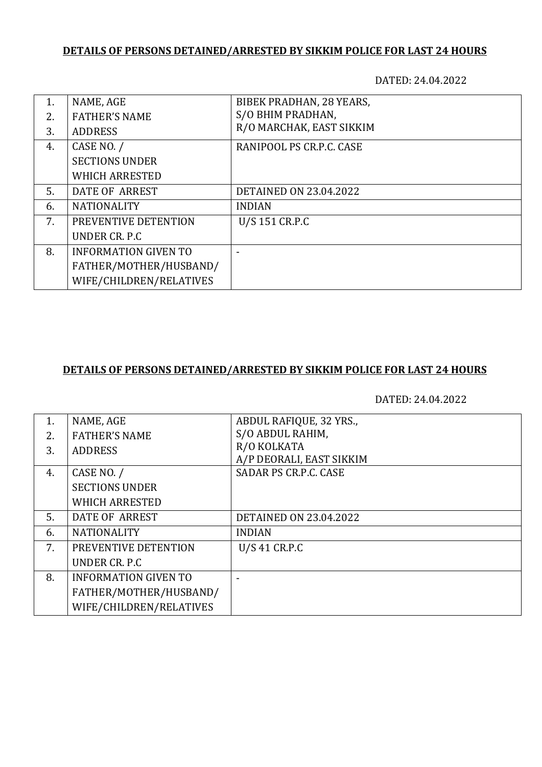## **DETAILS OF PERSONS DETAINED/ARRESTED BY SIKKIM POLICE FOR LAST 24 HOURS**

DATED: 24.04.2022

| 1. | NAME, AGE                   | BIBEK PRADHAN, 28 YEARS,      |
|----|-----------------------------|-------------------------------|
| 2. | <b>FATHER'S NAME</b>        | S/O BHIM PRADHAN,             |
| 3. | <b>ADDRESS</b>              | R/O MARCHAK, EAST SIKKIM      |
| 4. | CASE NO. /                  | RANIPOOL PS CR.P.C. CASE      |
|    | <b>SECTIONS UNDER</b>       |                               |
|    | <b>WHICH ARRESTED</b>       |                               |
| 5. | DATE OF ARREST              | <b>DETAINED ON 23.04.2022</b> |
| 6. | <b>NATIONALITY</b>          | <b>INDIAN</b>                 |
| 7. | PREVENTIVE DETENTION        | U/S 151 CR.P.C                |
|    | UNDER CR. P.C               |                               |
| 8. | <b>INFORMATION GIVEN TO</b> |                               |
|    | FATHER/MOTHER/HUSBAND/      |                               |
|    | WIFE/CHILDREN/RELATIVES     |                               |

## **DETAILS OF PERSONS DETAINED/ARRESTED BY SIKKIM POLICE FOR LAST 24 HOURS**

DATED: 24.04.2022

| 1. | NAME, AGE                   | ABDUL RAFIQUE, 32 YRS.,       |
|----|-----------------------------|-------------------------------|
| 2. | <b>FATHER'S NAME</b>        | S/O ABDUL RAHIM,              |
| 3. | <b>ADDRESS</b>              | R/O KOLKATA                   |
|    |                             | A/P DEORALI, EAST SIKKIM      |
| 4. | CASE NO. /                  | SADAR PS CR.P.C. CASE         |
|    | <b>SECTIONS UNDER</b>       |                               |
|    | <b>WHICH ARRESTED</b>       |                               |
| 5. | DATE OF ARREST              | <b>DETAINED ON 23.04.2022</b> |
| 6. | <b>NATIONALITY</b>          | <b>INDIAN</b>                 |
| 7. | PREVENTIVE DETENTION        | U/S 41 CR.P.C                 |
|    | UNDER CR. P.C.              |                               |
| 8. | <b>INFORMATION GIVEN TO</b> |                               |
|    | FATHER/MOTHER/HUSBAND/      |                               |
|    | WIFE/CHILDREN/RELATIVES     |                               |